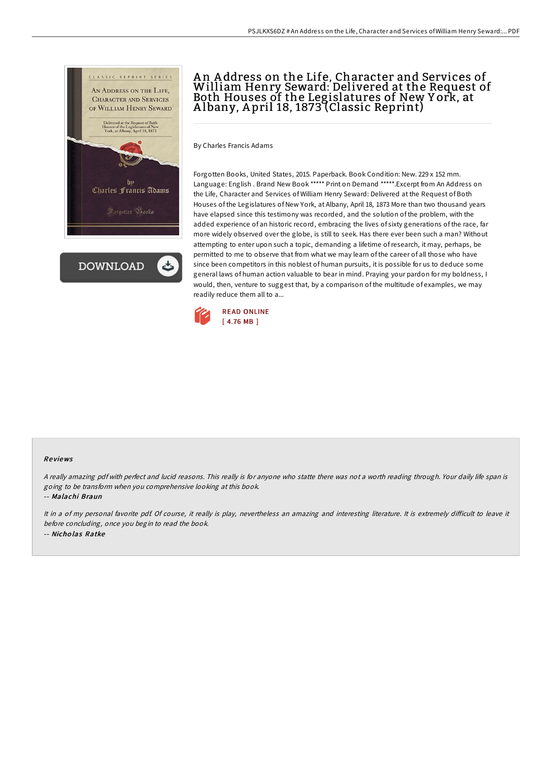

**DOWNLOAD** 

## A n A ddress on the Life, Character and Services of William Henry Seward: Delivered at the Request of Both Houses of the Legislatures of New Y ork, at A lbany, A pril 18, 1873 (Classic Reprint)

By Charles Francis Adams

Forgotten Books, United States, 2015. Paperback. Book Condition: New. 229 x 152 mm. Language: English . Brand New Book \*\*\*\*\* Print on Demand \*\*\*\*\*.Excerpt from An Address on the Life, Character and Services of William Henry Seward: Delivered at the Request of Both Houses of the Legislatures of New York, at Albany, April 18, 1873 More than two thousand years have elapsed since this testimony was recorded, and the solution of the problem, with the added experience of an historic record, embracing the lives of sixty generations of the race, far more widely observed over the globe, is still to seek. Has there ever been such a man? Without attempting to enter upon such a topic, demanding a lifetime ofresearch, it may, perhaps, be permitted to me to observe that from what we may learn of the career of all those who have since been competitors in this noblest of human pursuits, it is possible for us to deduce some general laws of human action valuable to bear in mind. Praying your pardon for my boldness, I would, then, venture to suggest that, by a comparison of the multitude of examples, we may readily reduce them all to a...



## Re views

<sup>A</sup> really amazing pdf with perfect and lucid reasons. This really is for anyone who statte there was not <sup>a</sup> worth reading through. Your daily life span is going to be transform when you comprehensive looking at this book.

-- Malachi Braun

It in a of my personal favorite pdf. Of course, it really is play, nevertheless an amazing and interesting literature. It is extremely difficult to leave it before concluding, once you begin to read the book. -- Nicho las Ratke